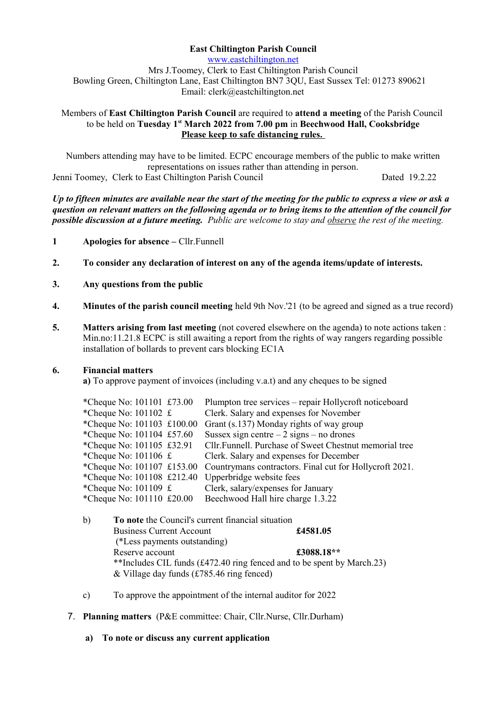# **East Chiltington Parish Council**

[www.eastchiltington.net](http://www.eastchiltington.net/) Mrs J.Toomey, Clerk to East Chiltington Parish Council Bowling Green, Chiltington Lane, East Chiltington BN7 3QU, East Sussex Tel: 01273 890621 Email: cler[k@eastchiltington.net](mailto:jt@chiltington.wanadoo.co.uk) 

#### Members of **East Chiltington Parish Council** are required to **attend a meeting** of the Parish Council to be held on **Tuesday 1st March 2022 from 7.00 pm** in **Beechwood Hall, Cooksbridge Please keep to safe distancing rules.**

Numbers attending may have to be limited. ECPC encourage members of the public to make written representations on issues rather than attending in person. Jenni Toomey, Clerk to East Chiltington Parish Council Dated 19.2.22

*Up to fifteen minutes are available near the start of the meeting for the public to express a view or ask a question on relevant matters on the following agenda or to bring items to the attention of the council for possible discussion at a future meeting. Public are welcome to stay and observe the rest of the meeting.*

- **1 Apologies for absence –** Cllr.Funnell
- **2. To consider any declaration of interest on any of the agenda items/update of interests.**
- **3. Any questions from the public**
- **4. Minutes of the parish council meeting** held 9th Nov.'21 (to be agreed and signed as a true record)
- **5. Matters arising from last meeting** (not covered elsewhere on the agenda) to note actions taken : Min.no:11.21.8 ECPC is still awaiting a report from the rights of way rangers regarding possible installation of bollards to prevent cars blocking EC1A

#### **6. Financial matters**

**a)** To approve payment of invoices (including v.a.t) and any cheques to be signed

| *Cheque No: $101101$ £73.00            | Plumpton tree services – repair Hollycroft noticeboard  |
|----------------------------------------|---------------------------------------------------------|
| *Cheque No: $101102 \text{ } \text{£}$ | Clerk. Salary and expenses for November                 |
| *Cheque No: 101103 £100.00             | Grant (s.137) Monday rights of way group                |
| *Cheque No: 101104 £57.60              | Sussex sign centre $-2$ signs $-$ no drones             |
| *Cheque No: 101105 £32.91              | Cllr. Funnell. Purchase of Sweet Chestnut memorial tree |
| *Cheque No: $101106 \text{ } \pounds$  | Clerk. Salary and expenses for December                 |
| *Cheque No: 101107 £153.00             | Countrymans contractors. Final cut for Hollycroft 2021. |
| *Cheque No: 101108 £212.40             | Upperbridge website fees                                |
| *Cheque No: $101109 \text{ } \pounds$  | Clerk, salary/expenses for January                      |
| *Cheque No: 101110 £20.00              | Beechwood Hall hire charge 1.3.22                       |
|                                        |                                                         |

- b) **To note** the Council's current financial situation Business Current Account **£4581.05** (\*Less payments outstanding) Reserve account **£3088.18\*\*** \*\*Includes CIL funds (£472.40 ring fenced and to be spent by March.23) & Village day funds (£785.46 ring fenced)
- c) To approve the appointment of the internal auditor for 2022
- 7. **Planning matters** (P&E committee: Chair, Cllr.Nurse, Cllr.Durham)
	- **a) To note or discuss any current application**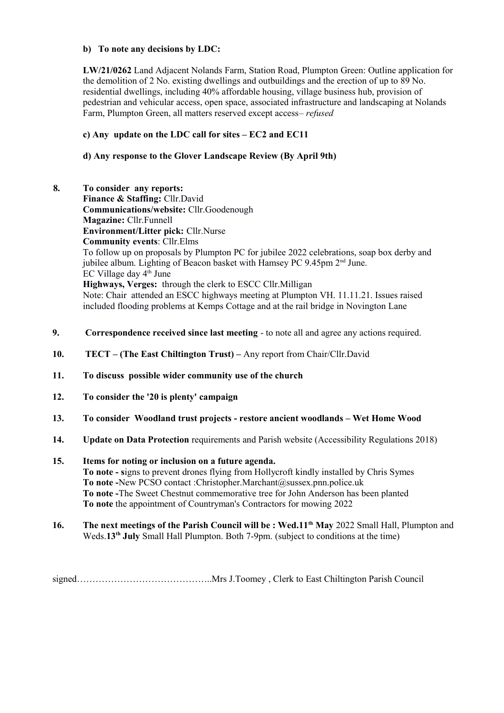### **b) To note any decisions by LDC:**

**LW/21/0262** Land Adjacent Nolands Farm, Station Road, Plumpton Green: Outline application for the demolition of 2 No. existing dwellings and outbuildings and the erection of up to 89 No. residential dwellings, including 40% affordable housing, village business hub, provision of pedestrian and vehicular access, open space, associated infrastructure and landscaping at Nolands Farm, Plumpton Green, all matters reserved except access*– refused*

## **c) Any update on the LDC call for sites – EC2 and EC11**

# **d) Any response to the Glover Landscape Review (By April 9th)**

- **8. To consider any reports: Finance & Staffing:** Cllr.David **Communications/website:** Cllr.Goodenough **Magazine:** Cllr.Funnell **Environment/Litter pick:** Cllr.Nurse **Community events**: Cllr.Elms To follow up on proposals by Plumpton PC for jubilee 2022 celebrations, soap box derby and jubilee album. Lighting of Beacon basket with Hamsey PC 9.45pm 2<sup>nd</sup> June.  $EC$  Village day  $4<sup>th</sup>$  June **Highways, Verges:** through the clerk to ESCC Cllr.Milligan Note: Chair attended an ESCC highways meeting at Plumpton VH. 11.11.21. Issues raised included flooding problems at Kemps Cottage and at the rail bridge in Novington Lane
- **9. Correspondence received since last meeting**  to note all and agree any actions required.
- **10. TECT (The East Chiltington Trust) –** Any report from Chair/Cllr.David
- **11. To discuss possible wider community use of the church**
- **12. To consider the '20 is plenty' campaign**
- **13. To consider Woodland trust projects restore ancient woodlands Wet Home Wood**
- **14. Update on Data Protection** requirements and Parish website (Accessibility Regulations 2018)

## **15. Items for noting or inclusion on a future agenda. To note - s**igns to prevent drones flying from Hollycroft kindly installed by Chris Symes **To note -**New PCSO contact :Christopher.Marchant@sussex.pnn.police.uk **To note -**The Sweet Chestnut commemorative tree for John Anderson has been planted **To note** the appointment of Countryman's Contractors for mowing 2022

**16. The next meetings of the Parish Council will be : Wed.11th May** 2022 Small Hall, Plumpton and Weds.13<sup>th</sup> July Small Hall Plumpton. Both 7-9pm. (subject to conditions at the time)

signed……………………………………..Mrs J.Toomey , Clerk to East Chiltington Parish Council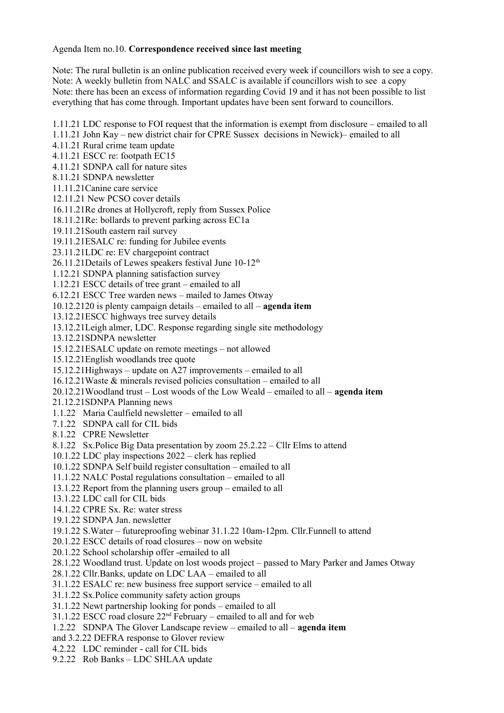### Agenda Item no.10. **Correspondence received since last meeting**

Note: The rural bulletin is an online publication received every week if councillors wish to see a copy. Note: A weekly bulletin from NALC and SSALC is available if councillors wish to see a copy Note: there has been an excess of information regarding Covid 19 and it has not been possible to list everything that has come through. Important updates have been sent forward to councillors.

1.11.21 LDC response to FOI request that the information is exempt from disclosure – emailed to all

1.11.21 John Kay – new district chair for CPRE Sussex decisions in Newick)– emailed to all

4.11.21 Rural crime team update

4.11.21 ESCC re: footpath EC15

4.11.21 SDNPA call for nature sites

8.11.21 SDNPA newsletter

11.11.21Canine care service

12.11.21 New PCSO cover details

16.11.21Re drones at Hollycroft, reply from Sussex Police

18.11.21Re: bollards to prevent parking across EC1a

19.11.21South eastern rail survey

19.11.21ESALC re: funding for Jubilee events

23.11.21LDC re: EV chargepoint contract

 $26.11.21$  Details of Lewes speakers festival June  $10-12<sup>th</sup>$ 

1.12.21 SDNPA planning satisfaction survey

1.12.21 ESCC details of tree grant – emailed to all

6.12.21 ESCC Tree warden news – mailed to James Otway

10.12.2120 is plenty campaign details – emailed to all – **agenda item**

13.12.21ESCC highways tree survey details

13.12.21Leigh almer, LDC. Response regarding single site methodology

13.12.21SDNPA newsletter

15.12.21ESALC update on remote meetings – not allowed

15.12.21English woodlands tree quote

15.12.21Highways – update on A27 improvements – emailed to all

16.12.21Waste & minerals revised policies consultation – emailed to all

20.12.21Woodland trust – Lost woods of the Low Weald – emailed to all – **agenda item**

21.12.21SDNPA Planning news

1.1.22 Maria Caulfield newsletter – emailed to all

7.1.22 SDNPA call for CIL bids

8.1.22 CPRE Newsletter

8.1.22 Sx.Police Big Data presentation by zoom 25.2.22 – Cllr Elms to attend

10.1.22 LDC play inspections 2022 – clerk has replied

10.1.22 SDNPA Self build register consultation – emailed to all

11.1.22 NALC Postal regulations consultation – emailed to all

13.1.22 Report from the planning users group – emailed to all

13.1.22 LDC call for CIL bids

14.1.22 CPRE Sx. Re: water stress

19.1.22 SDNPA Jan. newsletter

19.1.22 S.Water – futureproofing webinar 31.1.22 10am-12pm. Cllr.Funnell to attend

20.1.22 ESCC details of road closures – now on website

20.1.22 School scholarship offer -emailed to all

28.1.22 Woodland trust. Update on lost woods project – passed to Mary Parker and James Otway

28.1.22 Cllr.Banks, update on LDC LAA – emailed to all

31.1.22 ESALC re: new business free support service – emailed to all

31.1.22 Sx.Police community safety action groups

31.1.22 Newt partnership looking for ponds – emailed to all

 $31.1.22$  ESCC road closure  $22<sup>nd</sup>$  February – emailed to all and for web

1.2.22 SDNPA The Glover Landscape review – emailed to all – **agenda item**

and 3.2.22 DEFRA response to Glover review

4.2.22 LDC reminder - call for CIL bids

9.2.22 Rob Banks – LDC SHLAA update